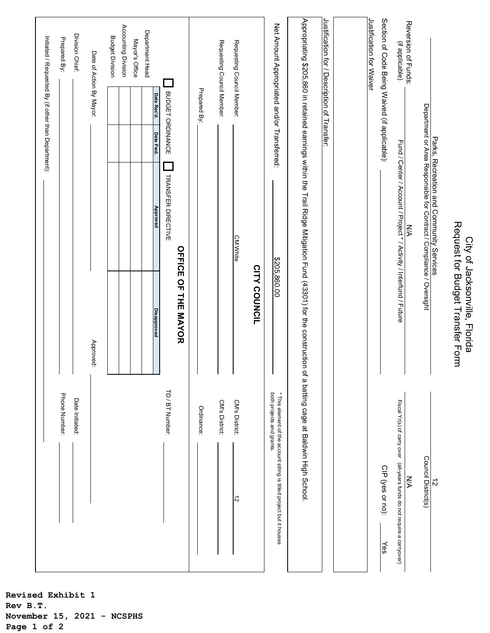| Phone Number:                                                                                                                                              |                                                                   |                                                                                                                  | Initiated / Requested By (if other than Department): |                                 | Prepared By:                                  |
|------------------------------------------------------------------------------------------------------------------------------------------------------------|-------------------------------------------------------------------|------------------------------------------------------------------------------------------------------------------|------------------------------------------------------|---------------------------------|-----------------------------------------------|
|                                                                                                                                                            |                                                                   |                                                                                                                  |                                                      |                                 |                                               |
| Date Initiated:                                                                                                                                            |                                                                   |                                                                                                                  |                                                      |                                 | Division Chief:                               |
|                                                                                                                                                            | Approved:                                                         |                                                                                                                  |                                                      |                                 | Date of Action By Mayor:                      |
|                                                                                                                                                            |                                                                   |                                                                                                                  |                                                      |                                 | <b>Budget Division</b>                        |
|                                                                                                                                                            |                                                                   |                                                                                                                  |                                                      |                                 | Accounting Division                           |
|                                                                                                                                                            |                                                                   |                                                                                                                  |                                                      |                                 | Mayor's Office                                |
|                                                                                                                                                            |                                                                   |                                                                                                                  |                                                      |                                 | Department Head                               |
| TD / BT Number:                                                                                                                                            | <b>Disapproved</b>                                                | TRANSFER DIRECTIVE<br>Approved                                                                                   | Date Fwd.                                            | BUDGET ORDINANCE<br>Date Rec'd. |                                               |
|                                                                                                                                                            | <b>OFFICE OF THE MAYOR</b>                                        |                                                                                                                  |                                                      |                                 |                                               |
| Ordinance:                                                                                                                                                 |                                                                   |                                                                                                                  |                                                      | Prepared By:                    |                                               |
| <b>CM's District:</b>                                                                                                                                      |                                                                   |                                                                                                                  |                                                      |                                 | Requesting Council Member:                    |
| CM's District:<br>ನ                                                                                                                                        |                                                                   | <b>CM White</b>                                                                                                  |                                                      |                                 | Requesting Council Member:                    |
|                                                                                                                                                            | <b>CITY COUNCIL</b>                                               |                                                                                                                  |                                                      |                                 |                                               |
| both projects and grants.<br>* This element of the account string is titled project but it houses                                                          | \$205,860.00                                                      |                                                                                                                  |                                                      |                                 | Net Amount Appropriated and/or Transferred:   |
| Appropriating \$205,860 in retained earnings within the Trail Ridge Mitigation Fund (43301) for the construction of a batting cage at Baldwin High School. |                                                                   |                                                                                                                  |                                                      |                                 |                                               |
|                                                                                                                                                            |                                                                   |                                                                                                                  |                                                      |                                 | Justification for / Description of Transfer:  |
|                                                                                                                                                            |                                                                   |                                                                                                                  |                                                      |                                 |                                               |
|                                                                                                                                                            |                                                                   |                                                                                                                  |                                                      |                                 | Justification for Waiver                      |
| CIP (yes or no):<br>$\frac{1}{8}$                                                                                                                          |                                                                   |                                                                                                                  |                                                      |                                 | Section of Code Being Waived (if applicable): |
| Fiscal Yr(s) of carry over (all-years funds do not require a carryover)                                                                                    |                                                                   | Fund / Center / Account / Project * / Activity / Interfund / Future                                              |                                                      |                                 | (if applicable)                               |
| УN                                                                                                                                                         |                                                                   | ŠХ                                                                                                               |                                                      |                                 | Reversion of Funds:                           |
| Council District(s)                                                                                                                                        |                                                                   | Parks, Recreation and Community Services<br>Department or Area Responsible for Contract / Compliance / Oversight |                                                      |                                 |                                               |
| ನ                                                                                                                                                          |                                                                   |                                                                                                                  |                                                      |                                 |                                               |
|                                                                                                                                                            | Request for Budget Transfer Form<br>City of Jacksonville, Florida |                                                                                                                  |                                                      |                                 |                                               |

**Revised Exhibit 1 Rev B.T. November 15, 2021 - NCSPHS Page 1 of 2**